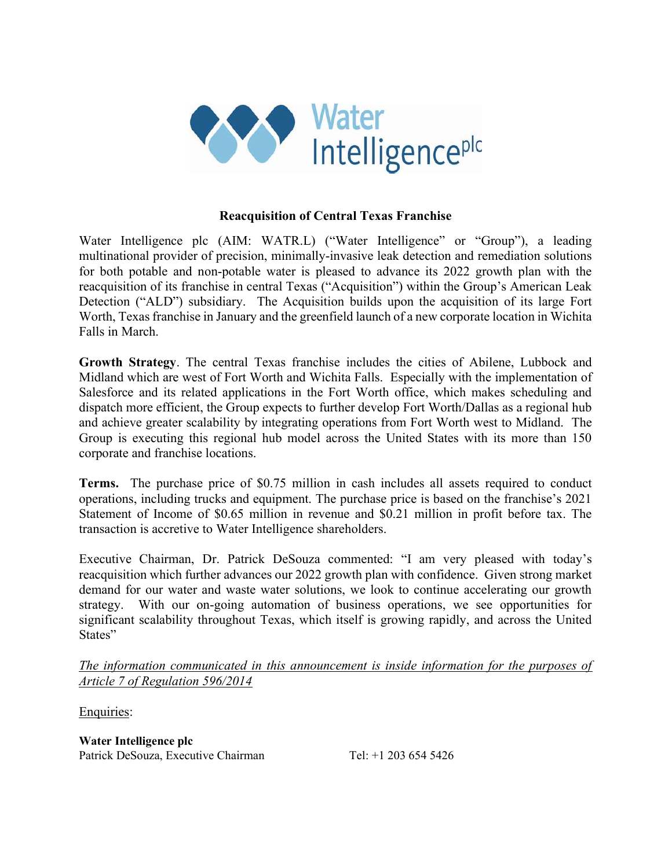

## Reacquisition of Central Texas Franchise

Water Intelligence plc (AIM: WATR.L) ("Water Intelligence" or "Group"), a leading multinational provider of precision, minimally-invasive leak detection and remediation solutions for both potable and non-potable water is pleased to advance its 2022 growth plan with the reacquisition of its franchise in central Texas ("Acquisition") within the Group's American Leak Detection ("ALD") subsidiary. The Acquisition builds upon the acquisition of its large Fort Worth, Texas franchise in January and the greenfield launch of a new corporate location in Wichita Falls in March.

Growth Strategy. The central Texas franchise includes the cities of Abilene, Lubbock and Midland which are west of Fort Worth and Wichita Falls. Especially with the implementation of Salesforce and its related applications in the Fort Worth office, which makes scheduling and dispatch more efficient, the Group expects to further develop Fort Worth/Dallas as a regional hub and achieve greater scalability by integrating operations from Fort Worth west to Midland. The Group is executing this regional hub model across the United States with its more than 150 corporate and franchise locations.

Terms. The purchase price of \$0.75 million in cash includes all assets required to conduct operations, including trucks and equipment. The purchase price is based on the franchise's 2021 Statement of Income of \$0.65 million in revenue and \$0.21 million in profit before tax. The transaction is accretive to Water Intelligence shareholders.

Executive Chairman, Dr. Patrick DeSouza commented: "I am very pleased with today's reacquisition which further advances our 2022 growth plan with confidence. Given strong market demand for our water and waste water solutions, we look to continue accelerating our growth strategy. With our on-going automation of business operations, we see opportunities for significant scalability throughout Texas, which itself is growing rapidly, and across the United States"

The information communicated in this announcement is inside information for the purposes of Article 7 of Regulation 596/2014

Enquiries:

Water Intelligence plc Patrick DeSouza, Executive Chairman Tel: +1 203 654 5426